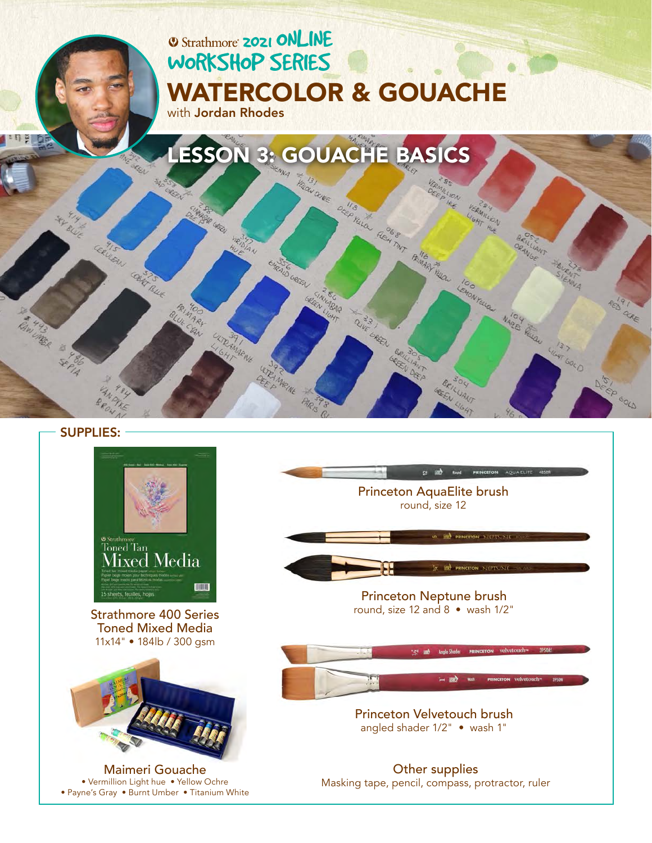

SUPPLIES:



[Strathmore 400 Series](https://www.strathmoreartist.com/mixed-media/id-400_series_toned_mixed_media.html)  Toned Mixed Media 11x14" • 184lb / 300 gsm



Maimeri Gouache • Vermillion Light hue • Yellow Ochre [• Payne's Gray • Burnt Umber • Titanium White](https://www.maimeri.it/en/products/gouache.html) [Princeton AquaElite brush](https://www.princetonbrush.com/elite-series-4850-princeton-brush-company-brush-4850/)  round, size 12

 $2 \times 10^{-1}$  and PRINCETON

O EL PRINCITON NEPTIUNE **SEE PRINCIPON NEPTION** 

#### [Princeton Neptune brush](https://www.princetonbrush.com/neptune-series-4750-princeton-brush-company-brush-4750/)  round, size 12 and 8 • wash 1/2"



[Princeton Velvetouch brush](https://www.princetonbrush.com/velvetouch-series-3950-princeton-brush-company-brush-3950/)  angled shader 1/2" • wash 1"

Other supplies Masking tape, pencil, compass, protractor, ruler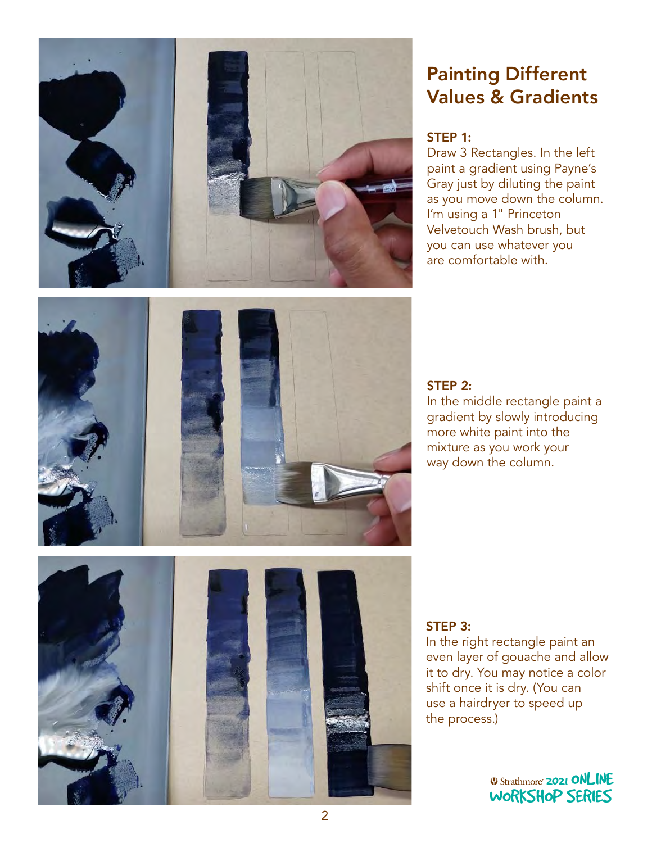

# Painting Different Values & Gradients

## STEP 1:

Draw 3 Rectangles. In the left paint a gradient using Payne's Gray just by diluting the paint as you move down the column. I'm using a 1" Princeton Velvetouch Wash brush, but you can use whatever you are comfortable with.



### STEP 2:

In the middle rectangle paint a gradient by slowly introducing more white paint into the mixture as you work your way down the column.



## STEP 3:

In the right rectangle paint an even layer of gouache and allow it to dry. You may notice a color shift once it is dry. (You can use a hairdryer to speed up<br>the process.) S.)<br>Workshop Series Series Series Series Series Series Series Series Series Series Series Series Series Series Se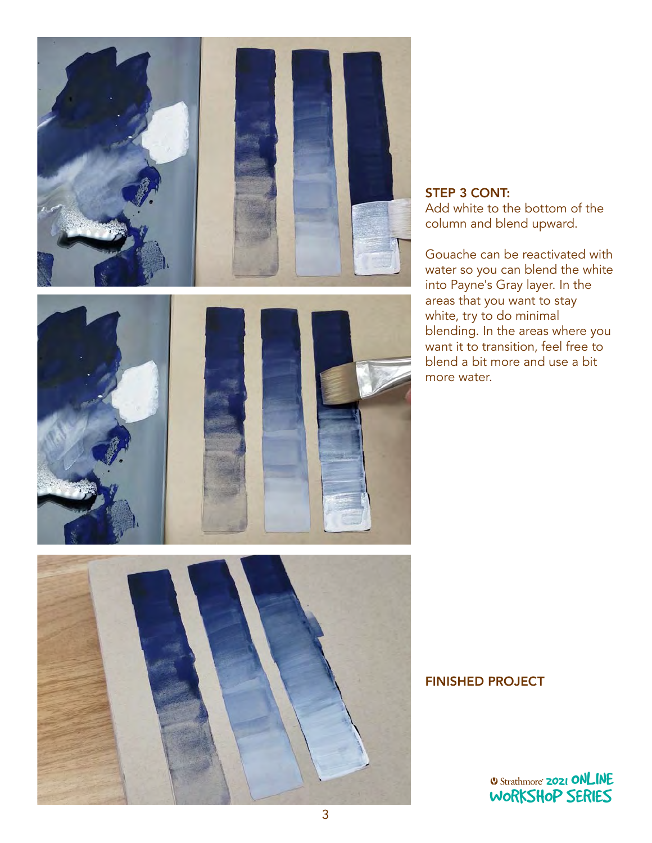

## STEP 3 CONT: Add white to the bottom of the column and blend upward.

Gouache can be reactivated with water so you can blend the white into Payne's Gray layer. In the areas that you want to stay white, try to do minimal blending. In the areas where you want it to transition, feel free to blend a bit more and use a bit more water.

### FINISHED PROJECT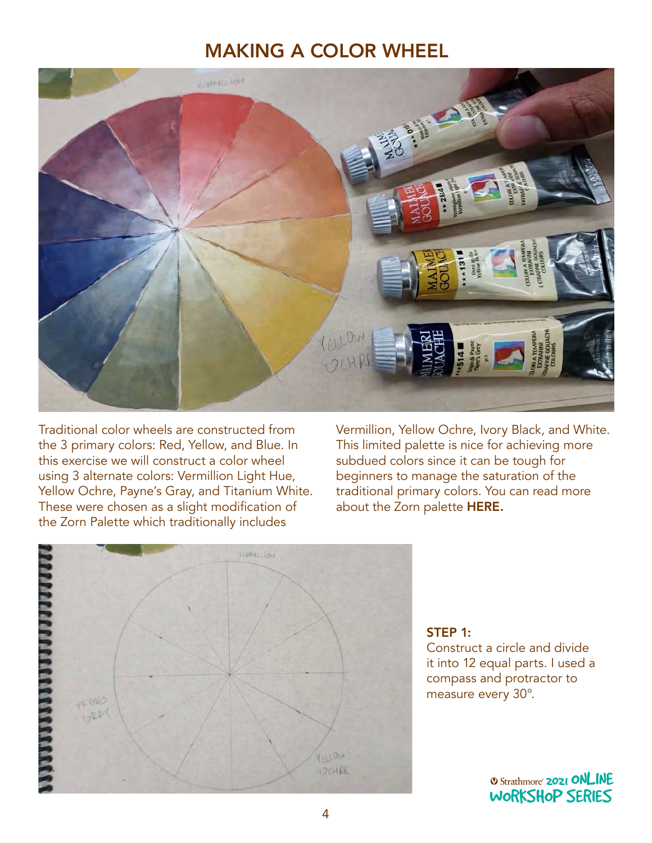## MAKING A COLOR WHEEL



Traditional color wheels are constructed from the 3 primary colors: Red, Yellow, and Blue. In this exercise we will construct a color wheel using 3 alternate colors: Vermillion Light Hue, Yellow Ochre, Payne's Gray, and Titanium White. These were chosen as a slight modification of the Zorn Palette which traditionally includes

Vermillion, Yellow Ochre, Ivory Black, and White. This limited palette is nice for achieving more subdued colors since it can be tough for beginners to manage the saturation of the traditional primary colors. You can read more about the Zorn palette [HERE.](https://drawpaintacademy.com/zorn-palette/#:~:text=The%20Zorn%20palette%20refers%20to,vermilion%20by%20modern%20day%20artists)



## STEP 1:

Construct a circle and divide it into 12 equal parts. I used a compass and protractor to measure every 30°.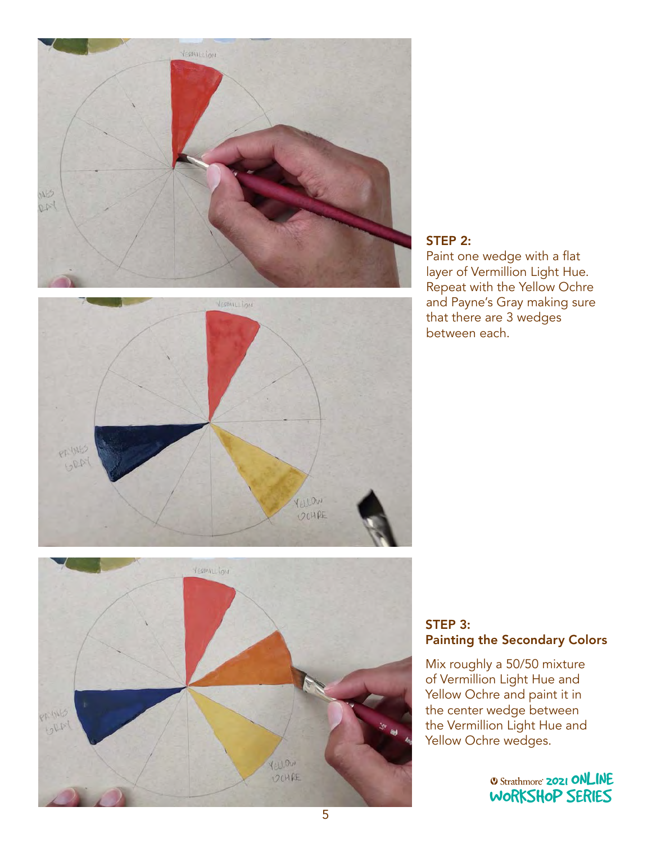





Paint one wedge with a flat layer of Vermillion Light Hue. Repeat with the Yellow Ochre and Payne's Gray making sure that there are 3 wedges between each.



## STEP 3: Painting the Secondary Colors

Mix roughly a 50/50 mixture of Vermillion Light Hue and Yellow Ochre and paint it in the center wedge between the Vermillion Light Hue and Yellow Ochre wedges.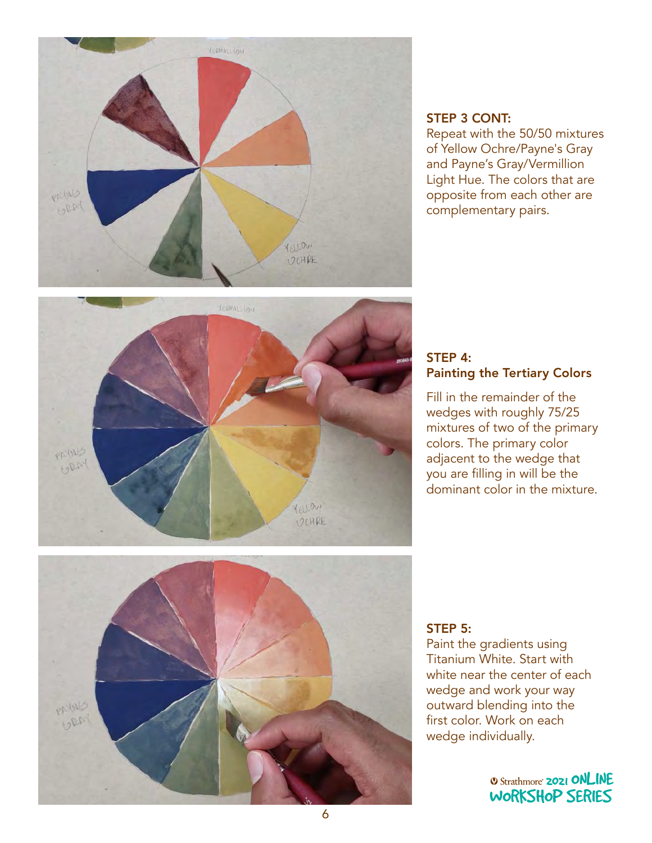

## STEP 3 CONT:

Repeat with the 50/50 mixtures of Yellow Ochre/Payne's Gray and Payne's Gray/Vermillion Light Hue. The colors that are opposite from each other are complementary pairs.



### STEP 4: Painting the Tertiary Colors

Fill in the remainder of the wedges with roughly 75/25 mixtures of two of the primary colors. The primary color adjacent to the wedge that you are filling in will be the dominant color in the mixture.



## STEP 5:

Paint the gradients using Titanium White. Start with white near the center of each wedge and work your way outward blending into the<br>Sinterlate Wesler condu first color. Work on each<br>wedge individually wedge individually.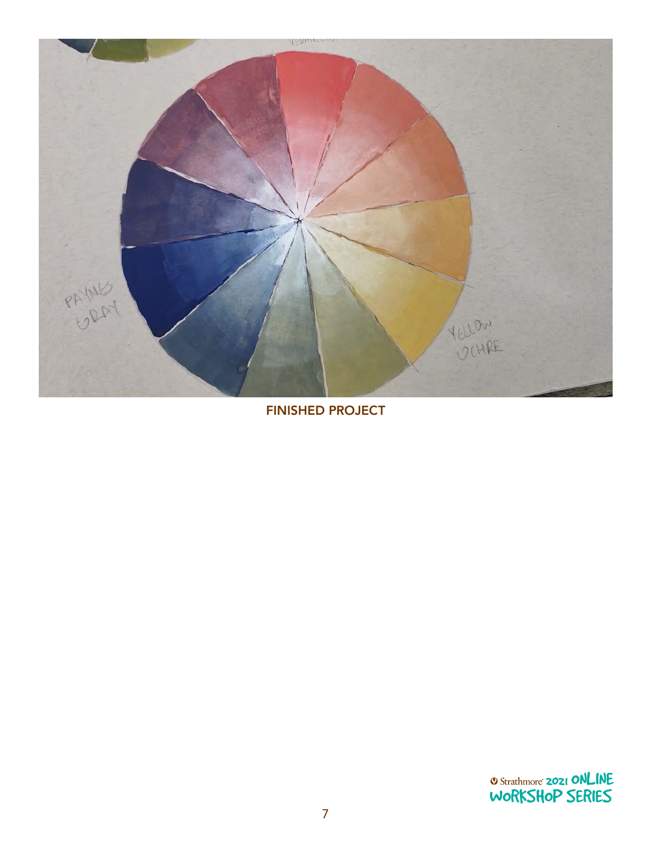

FINISHED PROJECT

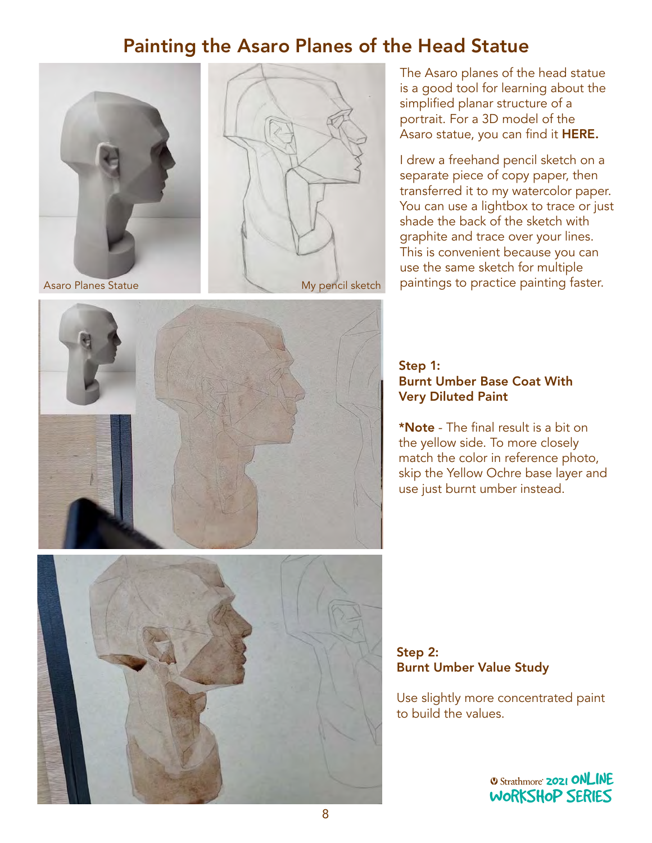## Painting the Asaro Planes of the Head Statue





The Asaro planes of the head statue is a good tool for learning about the simplified planar structure of a portrait. For a 3D model of the Asaro statue, you can find it [HERE.](https://sketchfab.com/3d-models/asaro-head-9d26548182f8465a8e97371a9170561e)

I drew a freehand pencil sketch on a separate piece of copy paper, then transferred it to my watercolor paper. You can use a lightbox to trace or just shade the back of the sketch with graphite and trace over your lines. This is convenient because you can use the same sketch for multiple paintings to practice painting faster.



#### Step 1: Burnt Umber Base Coat With Very Diluted Paint

\*Note - The final result is a bit on the yellow side. To more closely match the color in reference photo, skip the Yellow Ochre base layer and use just burnt umber instead.

Step 2: Burnt Umber Value Study

Use slightly more concentrated paint<br>to build the values. to build the values. WORKSHOP SERIES SERIES SERIES SERIES SERIES SERIES SERIES SERIES SERIES SERIES SERIES SERIES SERIES SERIES SERIES SERIES SERIES SERIES SERIES SERIES SERIES SERIES SERIES SERIES SERIES SERIES SERIES SERIES SERIES SERIES SER